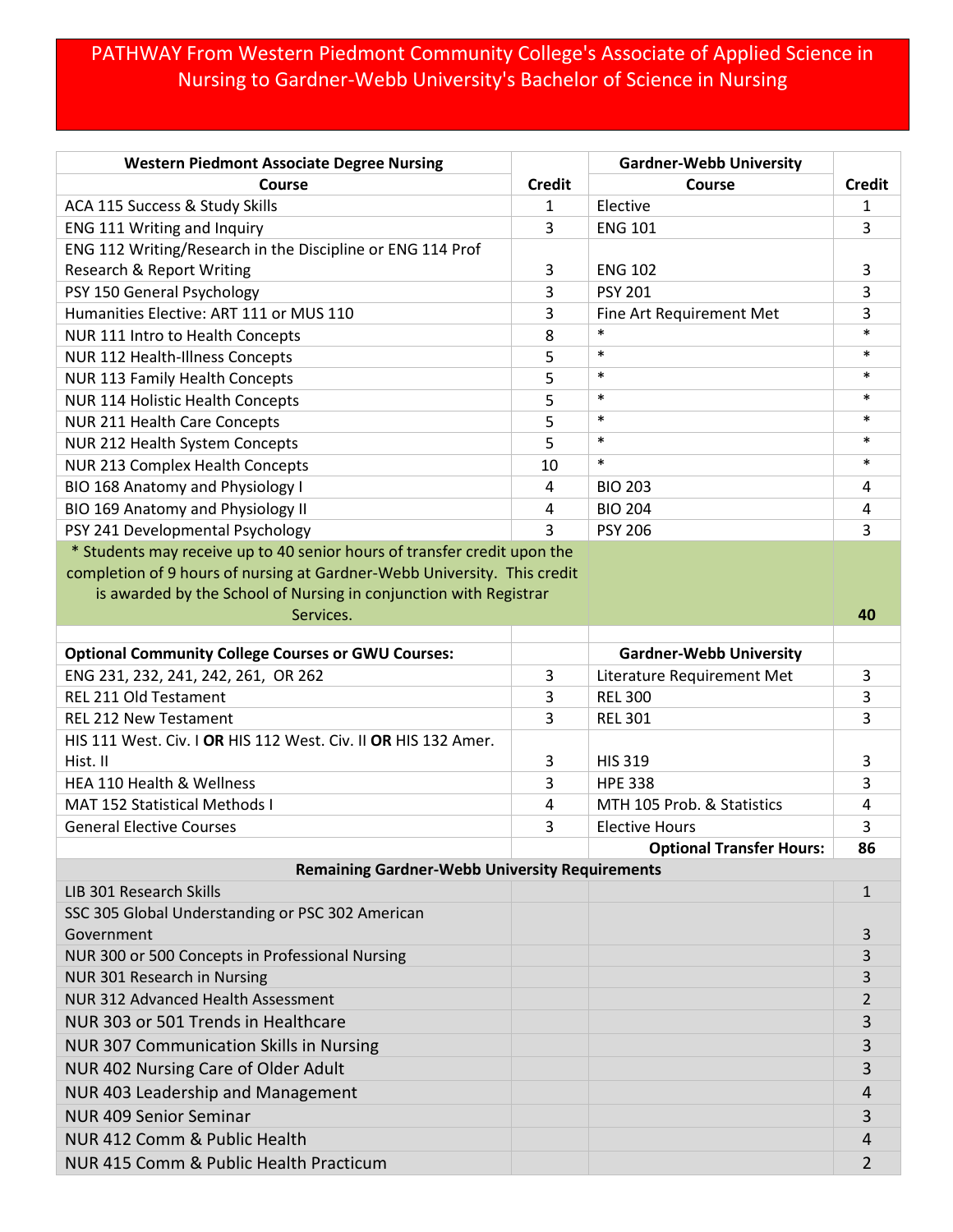## PATHWAY From Western Piedmont Community College's Associate of Applied Science in Nursing to Gardner-Webb University's Bachelor of Science in Nursing

| <b>Western Piedmont Associate Degree Nursing</b>                         |               | <b>Gardner-Webb University</b>  |               |
|--------------------------------------------------------------------------|---------------|---------------------------------|---------------|
| Course                                                                   | <b>Credit</b> | Course                          | <b>Credit</b> |
| ACA 115 Success & Study Skills                                           | 1             | Elective                        | 1             |
| ENG 111 Writing and Inquiry                                              | 3             | <b>ENG 101</b>                  | 3             |
| ENG 112 Writing/Research in the Discipline or ENG 114 Prof               |               |                                 |               |
| <b>Research &amp; Report Writing</b>                                     | 3             | <b>ENG 102</b>                  | 3             |
| PSY 150 General Psychology                                               | 3             | <b>PSY 201</b>                  | 3             |
| Humanities Elective: ART 111 or MUS 110                                  | 3             | Fine Art Requirement Met        | 3             |
| NUR 111 Intro to Health Concepts                                         | 8             | $\ast$                          | $\ast$        |
| <b>NUR 112 Health-Illness Concepts</b>                                   | 5             | $\ast$                          | $\ast$        |
| NUR 113 Family Health Concepts                                           | 5             | $\ast$                          | $\ast$        |
| NUR 114 Holistic Health Concepts                                         | 5             | $\ast$                          | $\ast$        |
| NUR 211 Health Care Concepts                                             | 5             | $\ast$                          | $\ast$        |
| NUR 212 Health System Concepts                                           | 5             | $\ast$                          | $\ast$        |
| NUR 213 Complex Health Concepts                                          | 10            | $\ast$                          | $\ast$        |
| BIO 168 Anatomy and Physiology I                                         | 4             | <b>BIO 203</b>                  | 4             |
| BIO 169 Anatomy and Physiology II                                        | 4             | <b>BIO 204</b>                  | 4             |
| PSY 241 Developmental Psychology                                         | 3             | <b>PSY 206</b>                  | 3             |
| * Students may receive up to 40 senior hours of transfer credit upon the |               |                                 |               |
| completion of 9 hours of nursing at Gardner-Webb University. This credit |               |                                 |               |
| is awarded by the School of Nursing in conjunction with Registrar        |               |                                 |               |
| Services.                                                                |               |                                 | 40            |
| <b>Optional Community College Courses or GWU Courses:</b>                |               | <b>Gardner-Webb University</b>  |               |
| ENG 231, 232, 241, 242, 261, OR 262                                      | 3             | Literature Requirement Met      | 3             |
| <b>REL 211 Old Testament</b>                                             | 3             | <b>REL 300</b>                  | 3             |
| <b>REL 212 New Testament</b>                                             | 3             | <b>REL 301</b>                  | 3             |
| HIS 111 West. Civ. I OR HIS 112 West. Civ. II OR HIS 132 Amer.           |               |                                 |               |
| Hist. II                                                                 | 3             | <b>HIS 319</b>                  | 3             |
| HEA 110 Health & Wellness                                                | 3             | <b>HPE 338</b>                  | 3             |
| <b>MAT 152 Statistical Methods I</b>                                     | 4             | MTH 105 Prob. & Statistics      | 4             |
| <b>General Elective Courses</b>                                          | 3             | <b>Elective Hours</b>           | 3             |
|                                                                          |               | <b>Optional Transfer Hours:</b> | 86            |
| <b>Remaining Gardner-Webb University Requirements</b>                    |               |                                 |               |
| LIB 301 Research Skills                                                  |               |                                 | $\mathbf{1}$  |
| SSC 305 Global Understanding or PSC 302 American                         |               |                                 |               |
| Government                                                               |               |                                 | 3             |
| NUR 300 or 500 Concepts in Professional Nursing                          |               |                                 | 3             |
| NUR 301 Research in Nursing                                              |               |                                 | 3             |
| NUR 312 Advanced Health Assessment                                       |               |                                 | 2             |
| NUR 303 or 501 Trends in Healthcare                                      |               |                                 | 3             |
| <b>NUR 307 Communication Skills in Nursing</b>                           |               |                                 | 3             |
| NUR 402 Nursing Care of Older Adult                                      |               |                                 | 3             |
| NUR 403 Leadership and Management                                        |               |                                 | 4             |
| <b>NUR 409 Senior Seminar</b>                                            |               |                                 |               |
|                                                                          |               |                                 | 3             |
| NUR 412 Comm & Public Health                                             |               |                                 | 4             |
| NUR 415 Comm & Public Health Practicum                                   |               |                                 | 2             |